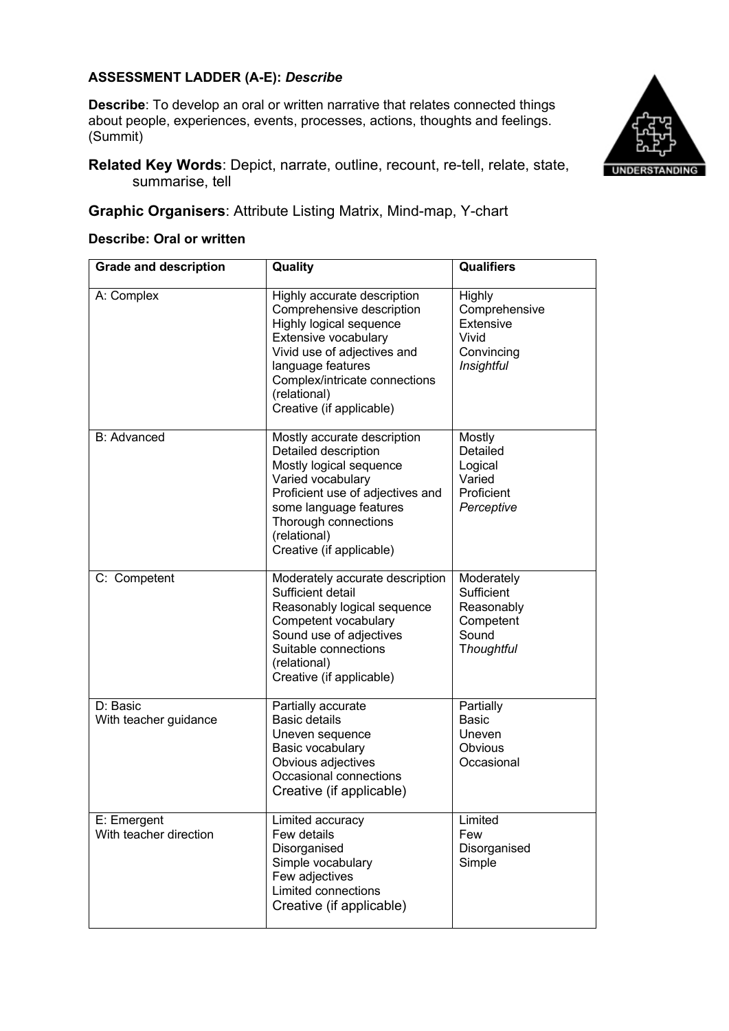## **ASSESSMENT LADDER (A-E):** *Describe*

**Describe**: To develop an oral or written narrative that relates connected things about people, experiences, events, processes, actions, thoughts and feelings. (Summit)

**Related Key Words**: Depict, narrate, outline, recount, re-tell, relate, state, summarise, tell



## **Graphic Organisers**: Attribute Listing Matrix, Mind-map, Y-chart

| <b>Describe: Oral or written</b> |  |  |  |  |
|----------------------------------|--|--|--|--|
|----------------------------------|--|--|--|--|

| <b>Grade and description</b>          | Quality                                                                                                                                                                                                                                      | <b>Qualifiers</b>                                                                 |  |
|---------------------------------------|----------------------------------------------------------------------------------------------------------------------------------------------------------------------------------------------------------------------------------------------|-----------------------------------------------------------------------------------|--|
| A: Complex                            | Highly accurate description<br>Comprehensive description<br>Highly logical sequence<br>Extensive vocabulary<br>Vivid use of adjectives and<br>language features<br>Complex/intricate connections<br>(relational)<br>Creative (if applicable) | Highly<br>Comprehensive<br>Extensive<br>Vivid<br>Convincing<br>Insightful         |  |
| <b>B: Advanced</b>                    | Mostly accurate description<br>Detailed description<br>Mostly logical sequence<br>Varied vocabulary<br>Proficient use of adjectives and<br>some language features<br>Thorough connections<br>(relational)<br>Creative (if applicable)        | Mostly<br>Detailed<br>Logical<br>Varied<br>Proficient<br>Perceptive               |  |
| C: Competent                          | Moderately accurate description<br>Sufficient detail<br>Reasonably logical sequence<br>Competent vocabulary<br>Sound use of adjectives<br>Suitable connections<br>(relational)<br>Creative (if applicable)                                   | Moderately<br>Sufficient<br>Reasonably<br>Competent<br>Sound<br><b>Thoughtful</b> |  |
| D: Basic<br>With teacher guidance     | Partially accurate<br><b>Basic details</b><br>Uneven sequence<br>Basic vocabulary<br>Obvious adjectives<br>Occasional connections<br>Creative (if applicable)                                                                                | Partially<br><b>Basic</b><br>Uneven<br><b>Obvious</b><br>Occasional               |  |
| E: Emergent<br>With teacher direction | Limited accuracy<br>Few details<br>Disorganised<br>Simple vocabulary<br>Few adjectives<br><b>Limited connections</b><br>Creative (if applicable)                                                                                             | Limited<br>Few<br>Disorganised<br>Simple                                          |  |